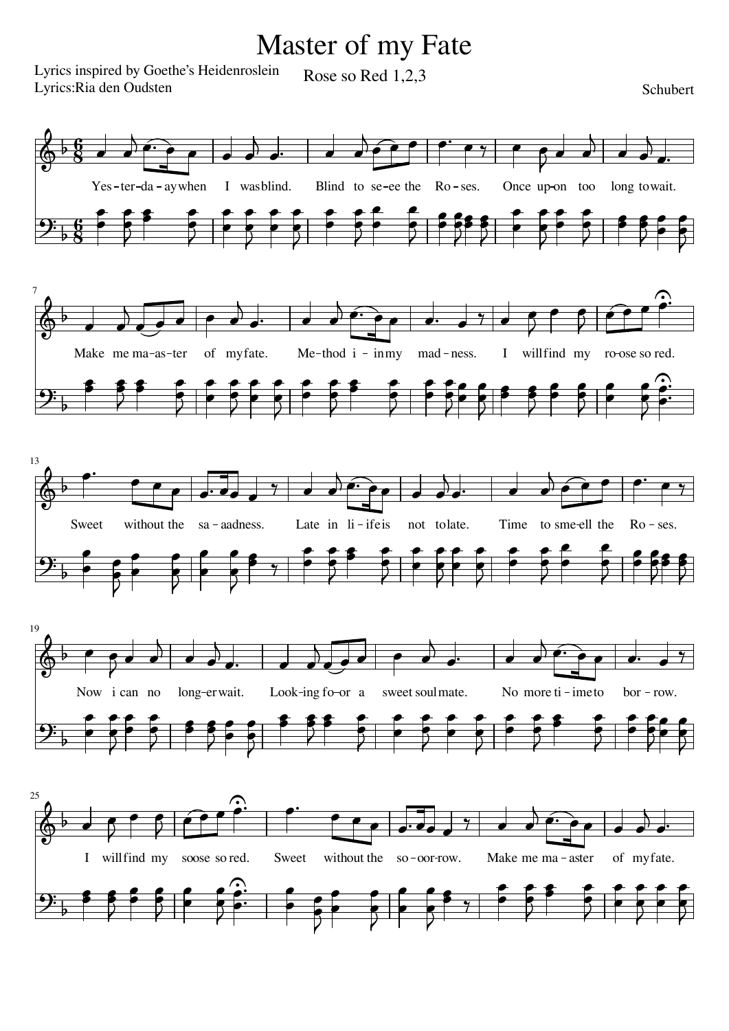## Master of my Fate

Lyrics inspired by Goethe's Heidenroslein Lyrics:Ria den Oudsten

Rose so Red 1,2,3

## **Schubert**